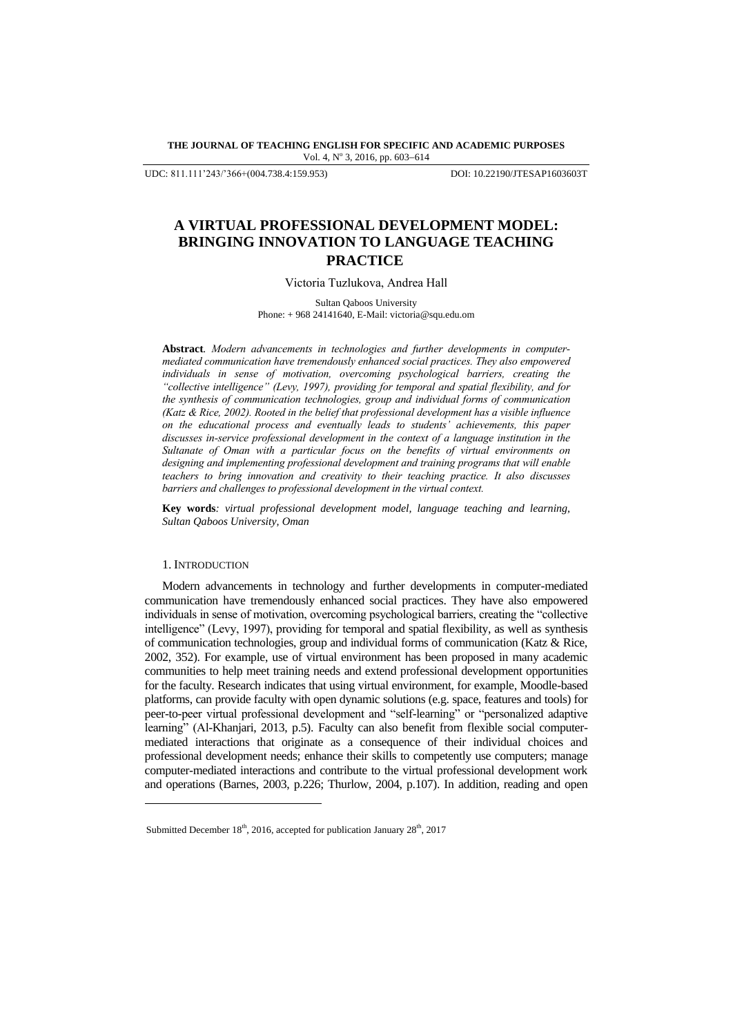**THE JOURNAL OF TEACHING ENGLISH FOR SPECIFIC AND ACADEMIC PURPOSES** Vol. 4, Nº 3, 2016, pp. 603-614

UDC: 811.111'243/'366+(004.738.4:159.953) DOI: 10.22190/JTESAP1603603T

# **A VIRTUAL PROFESSIONAL DEVELOPMENT MODEL: BRINGING INNOVATION TO LANGUAGE TEACHING PRACTICE**

Victoria Tuzlukova, Andrea Hall

Sultan Qaboos University Phone: + 968 24141640, E-Mail: victoria@squ.edu.om

**Abstract***. Modern advancements in technologies and further developments in computermediated communication have tremendously enhanced social practices. They also empowered individuals in sense of motivation, overcoming psychological barriers, creating the "collective intelligence" (Levy, 1997), providing for temporal and spatial flexibility, and for the synthesis of communication technologies, group and individual forms of communication (Katz & Rice, 2002). Rooted in the belief that professional development has a visible influence on the educational process and eventually leads to students' achievements, this paper discusses in-service professional development in the context of a language institution in the Sultanate of Oman with a particular focus on the benefits of virtual environments on designing and implementing professional development and training programs that will enable teachers to bring innovation and creativity to their teaching practice. It also discusses barriers and challenges to professional development in the virtual context.*

**Key words***: virtual professional development model, language teaching and learning, Sultan Qaboos University, Oman*

# 1. INTRODUCTION

l

Modern advancements in technology and further developments in computer-mediated communication have tremendously enhanced social practices. They have also empowered individuals in sense of motivation, overcoming psychological barriers, creating the "collective intelligence" (Levy, 1997), providing for temporal and spatial flexibility, as well as synthesis of communication technologies, group and individual forms of communication (Katz & Rice, 2002, 352). For example, use of virtual environment has been proposed in many academic communities to help meet training needs and extend professional development opportunities for the faculty. Research indicates that using virtual environment, for example, Moodle-based platforms, can provide faculty with open dynamic solutions (e.g. space, features and tools) for peer-to-peer virtual professional development and "self-learning" or "personalized adaptive learning" (Al-Khanjari, 2013, p.5). Faculty can also benefit from flexible social computermediated interactions that originate as a consequence of their individual choices and professional development needs; enhance their skills to competently use computers; manage computer-mediated interactions and contribute to the virtual professional development work and operations (Barnes, 2003, p.226; Thurlow, 2004, p.107). In addition, reading and open

Submitted December 18<sup>th</sup>, 2016, accepted for publication January 28<sup>th</sup>, 2017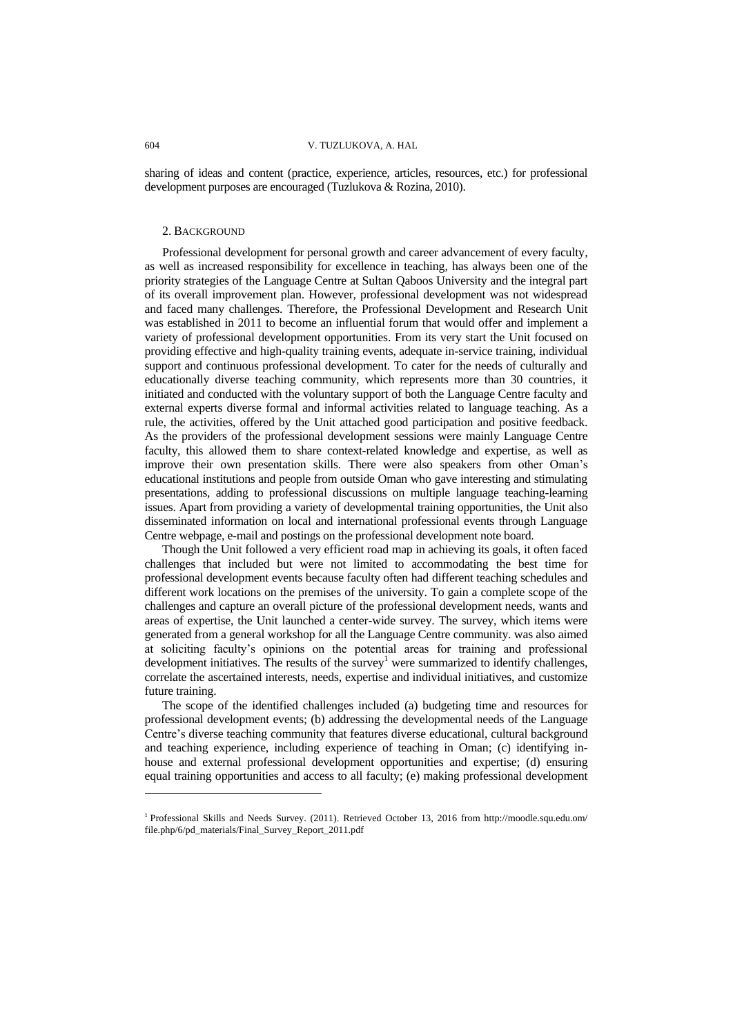sharing of ideas and content (practice, experience, articles, resources, etc.) for professional development purposes are encouraged (Tuzlukova & Rozina, 2010).

## 2. BACKGROUND

Professional development for personal growth and career advancement of every faculty, as well as increased responsibility for excellence in teaching, has always been one of the priority strategies of the Language Centre at Sultan Qaboos University and the integral part of its overall improvement plan. However, professional development was not widespread and faced many challenges. Therefore, the Professional Development and Research Unit was established in 2011 to become an influential forum that would offer and implement a variety of professional development opportunities. From its very start the Unit focused on providing effective and high-quality training events, adequate in-service training, individual support and continuous professional development. To cater for the needs of culturally and educationally diverse teaching community, which represents more than 30 countries, it initiated and conducted with the voluntary support of both the Language Centre faculty and external experts diverse formal and informal activities related to language teaching. As a rule, the activities, offered by the Unit attached good participation and positive feedback. As the providers of the professional development sessions were mainly Language Centre faculty, this allowed them to share context-related knowledge and expertise, as well as improve their own presentation skills. There were also speakers from other Oman"s educational institutions and people from outside Oman who gave interesting and stimulating presentations, adding to professional discussions on multiple language teaching-learning issues. Apart from providing a variety of developmental training opportunities, the Unit also disseminated information on local and international professional events through Language Centre webpage, e-mail and postings on the professional development note board.

Though the Unit followed a very efficient road map in achieving its goals, it often faced challenges that included but were not limited to accommodating the best time for professional development events because faculty often had different teaching schedules and different work locations on the premises of the university. To gain a complete scope of the challenges and capture an overall picture of the professional development needs, wants and areas of expertise, the Unit launched a center-wide survey. The survey, which items were generated from a general workshop for all the Language Centre community. was also aimed at soliciting faculty"s opinions on the potential areas for training and professional development initiatives. The results of the survey<sup>1</sup> were summarized to identify challenges, correlate the ascertained interests, needs, expertise and individual initiatives, and customize future training.

The scope of the identified challenges included (a) budgeting time and resources for professional development events; (b) addressing the developmental needs of the Language Centre's diverse teaching community that features diverse educational, cultural background and teaching experience, including experience of teaching in Oman; (c) identifying inhouse and external professional development opportunities and expertise; (d) ensuring equal training opportunities and access to all faculty; (e) making professional development

l

<sup>1</sup> Professional Skills and Needs Survey. (2011). Retrieved October 13, 2016 from http://moodle.squ.edu.om/ file.php/6/pd\_materials/Final\_Survey\_Report\_2011.pdf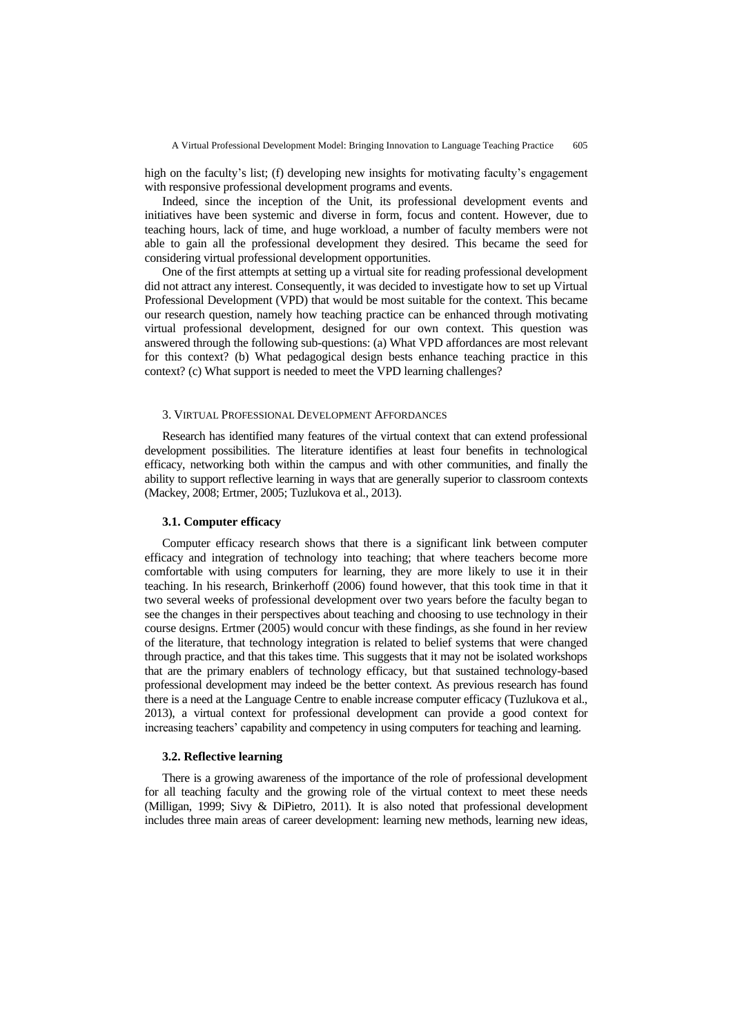high on the faculty's list; (f) developing new insights for motivating faculty's engagement with responsive professional development programs and events.

Indeed, since the inception of the Unit, its professional development events and initiatives have been systemic and diverse in form, focus and content. However, due to teaching hours, lack of time, and huge workload, a number of faculty members were not able to gain all the professional development they desired. This became the seed for considering virtual professional development opportunities.

One of the first attempts at setting up a virtual site for reading professional development did not attract any interest. Consequently, it was decided to investigate how to set up Virtual Professional Development (VPD) that would be most suitable for the context. This became our research question, namely how teaching practice can be enhanced through motivating virtual professional development, designed for our own context. This question was answered through the following sub-questions: (a) What VPD affordances are most relevant for this context? (b) What pedagogical design bests enhance teaching practice in this context? (c) What support is needed to meet the VPD learning challenges?

## 3. VIRTUAL PROFESSIONAL DEVELOPMENT AFFORDANCES

Research has identified many features of the virtual context that can extend professional development possibilities. The literature identifies at least four benefits in technological efficacy, networking both within the campus and with other communities, and finally the ability to support reflective learning in ways that are generally superior to classroom contexts (Mackey, 2008; Ertmer, 2005; Tuzlukova et al., 2013).

## **3.1. Computer efficacy**

Computer efficacy research shows that there is a significant link between computer efficacy and integration of technology into teaching; that where teachers become more comfortable with using computers for learning, they are more likely to use it in their teaching. In his research, Brinkerhoff (2006) found however, that this took time in that it two several weeks of professional development over two years before the faculty began to see the changes in their perspectives about teaching and choosing to use technology in their course designs. Ertmer (2005) would concur with these findings, as she found in her review of the literature, that technology integration is related to belief systems that were changed through practice, and that this takes time. This suggests that it may not be isolated workshops that are the primary enablers of technology efficacy, but that sustained technology-based professional development may indeed be the better context. As previous research has found there is a need at the Language Centre to enable increase computer efficacy (Tuzlukova et al., 2013), a virtual context for professional development can provide a good context for increasing teachers" capability and competency in using computers for teaching and learning.

## **3.2. Reflective learning**

There is a growing awareness of the importance of the role of professional development for all teaching faculty and the growing role of the virtual context to meet these needs (Milligan, 1999; Sivy & DiPietro, 2011). It is also noted that professional development includes three main areas of career development: learning new methods, learning new ideas,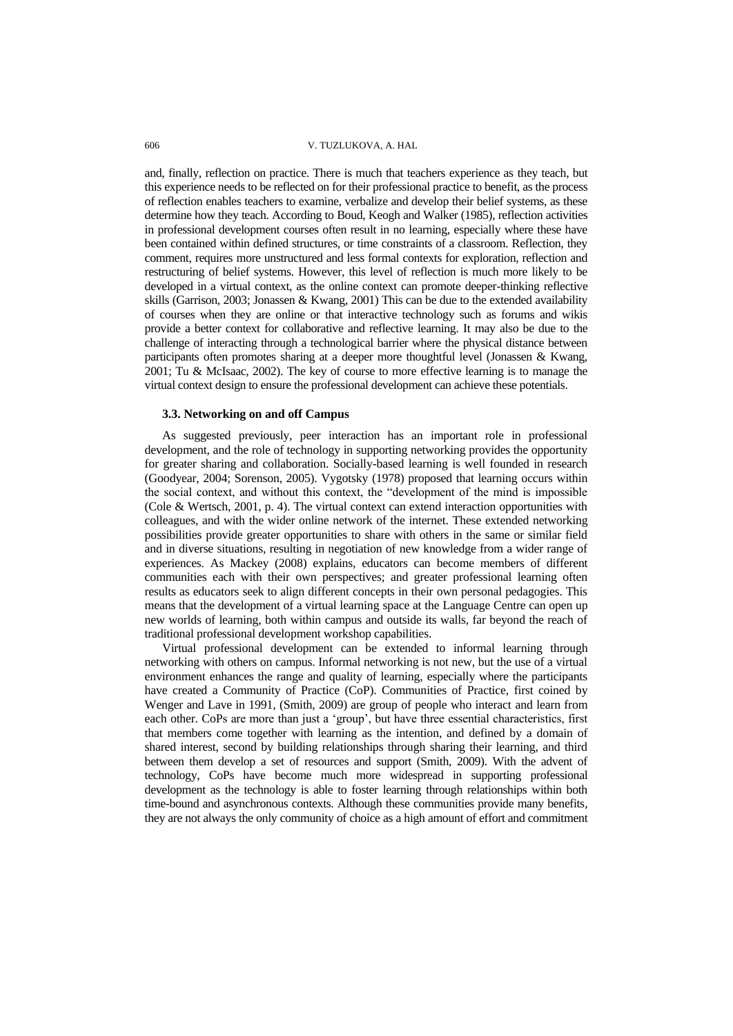and, finally, reflection on practice. There is much that teachers experience as they teach, but this experience needs to be reflected on for their professional practice to benefit, as the process of reflection enables teachers to examine, verbalize and develop their belief systems, as these determine how they teach. According to Boud, Keogh and Walker (1985), reflection activities in professional development courses often result in no learning, especially where these have been contained within defined structures, or time constraints of a classroom. Reflection, they comment, requires more unstructured and less formal contexts for exploration, reflection and restructuring of belief systems. However, this level of reflection is much more likely to be developed in a virtual context, as the online context can promote deeper-thinking reflective skills (Garrison, 2003; Jonassen & Kwang, 2001) This can be due to the extended availability of courses when they are online or that interactive technology such as forums and wikis provide a better context for collaborative and reflective learning. It may also be due to the challenge of interacting through a technological barrier where the physical distance between participants often promotes sharing at a deeper more thoughtful level (Jonassen & Kwang, 2001; Tu & McIsaac, 2002). The key of course to more effective learning is to manage the virtual context design to ensure the professional development can achieve these potentials.

## **3.3. Networking on and off Campus**

As suggested previously, peer interaction has an important role in professional development, and the role of technology in supporting networking provides the opportunity for greater sharing and collaboration. Socially-based learning is well founded in research (Goodyear, 2004; Sorenson, 2005). Vygotsky (1978) proposed that learning occurs within the social context, and without this context, the "development of the mind is impossible (Cole & Wertsch, 2001, p. 4). The virtual context can extend interaction opportunities with colleagues, and with the wider online network of the internet. These extended networking possibilities provide greater opportunities to share with others in the same or similar field and in diverse situations, resulting in negotiation of new knowledge from a wider range of experiences. As Mackey (2008) explains, educators can become members of different communities each with their own perspectives; and greater professional learning often results as educators seek to align different concepts in their own personal pedagogies. This means that the development of a virtual learning space at the Language Centre can open up new worlds of learning, both within campus and outside its walls, far beyond the reach of traditional professional development workshop capabilities.

Virtual professional development can be extended to informal learning through networking with others on campus. Informal networking is not new, but the use of a virtual environment enhances the range and quality of learning, especially where the participants have created a Community of Practice (CoP). Communities of Practice, first coined by Wenger and Lave in 1991, (Smith, 2009) are group of people who interact and learn from each other. CoPs are more than just a 'group', but have three essential characteristics, first that members come together with learning as the intention, and defined by a domain of shared interest, second by building relationships through sharing their learning, and third between them develop a set of resources and support (Smith, 2009). With the advent of technology, CoPs have become much more widespread in supporting professional development as the technology is able to foster learning through relationships within both time-bound and asynchronous contexts. Although these communities provide many benefits, they are not always the only community of choice as a high amount of effort and commitment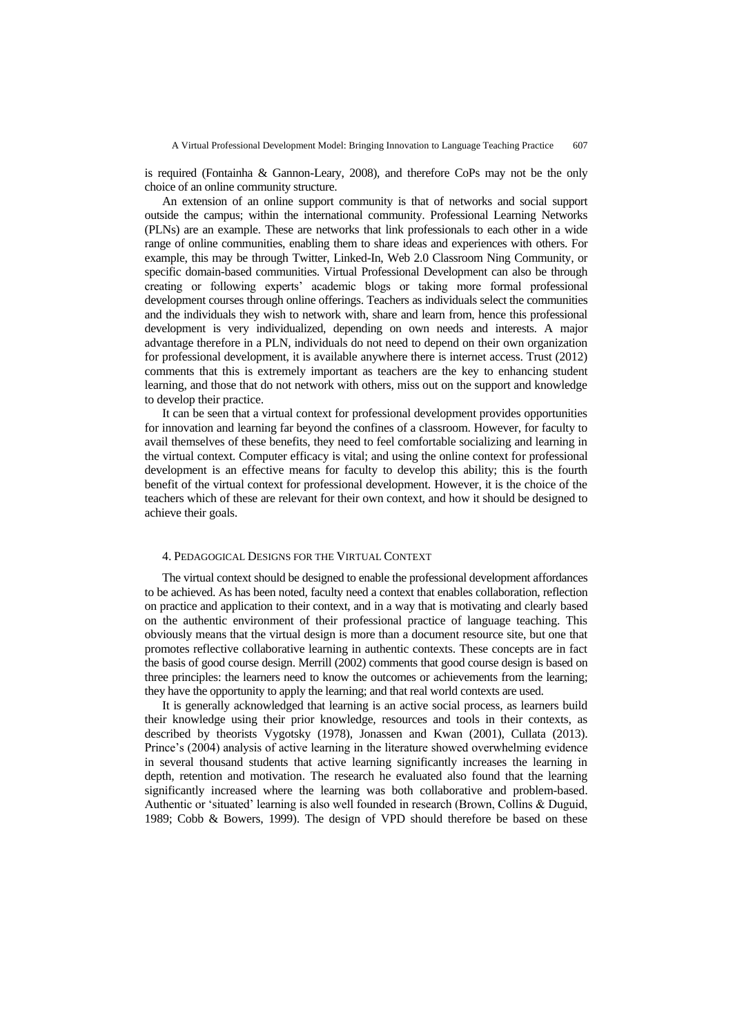is required (Fontainha & Gannon-Leary, 2008), and therefore CoPs may not be the only choice of an online community structure.

An extension of an online support community is that of networks and social support outside the campus; within the international community. Professional Learning Networks (PLNs) are an example. These are networks that link professionals to each other in a wide range of online communities, enabling them to share ideas and experiences with others. For example, this may be through Twitter, Linked-In, Web 2.0 Classroom Ning Community, or specific domain-based communities. Virtual Professional Development can also be through creating or following experts" academic blogs or taking more formal professional development courses through online offerings. Teachers as individuals select the communities and the individuals they wish to network with, share and learn from, hence this professional development is very individualized, depending on own needs and interests. A major advantage therefore in a PLN, individuals do not need to depend on their own organization for professional development, it is available anywhere there is internet access. Trust (2012) comments that this is extremely important as teachers are the key to enhancing student learning, and those that do not network with others, miss out on the support and knowledge to develop their practice.

It can be seen that a virtual context for professional development provides opportunities for innovation and learning far beyond the confines of a classroom. However, for faculty to avail themselves of these benefits, they need to feel comfortable socializing and learning in the virtual context. Computer efficacy is vital; and using the online context for professional development is an effective means for faculty to develop this ability; this is the fourth benefit of the virtual context for professional development. However, it is the choice of the teachers which of these are relevant for their own context, and how it should be designed to achieve their goals.

#### 4. PEDAGOGICAL DESIGNS FOR THE VIRTUAL CONTEXT

The virtual context should be designed to enable the professional development affordances to be achieved. As has been noted, faculty need a context that enables collaboration, reflection on practice and application to their context, and in a way that is motivating and clearly based on the authentic environment of their professional practice of language teaching. This obviously means that the virtual design is more than a document resource site, but one that promotes reflective collaborative learning in authentic contexts. These concepts are in fact the basis of good course design. Merrill (2002) comments that good course design is based on three principles: the learners need to know the outcomes or achievements from the learning; they have the opportunity to apply the learning; and that real world contexts are used.

It is generally acknowledged that learning is an active social process, as learners build their knowledge using their prior knowledge, resources and tools in their contexts, as described by theorists Vygotsky (1978), Jonassen and Kwan (2001), Cullata (2013). Prince's (2004) analysis of active learning in the literature showed overwhelming evidence in several thousand students that active learning significantly increases the learning in depth, retention and motivation. The research he evaluated also found that the learning significantly increased where the learning was both collaborative and problem-based. Authentic or "situated" learning is also well founded in research (Brown, Collins & Duguid, 1989; Cobb & Bowers, 1999). The design of VPD should therefore be based on these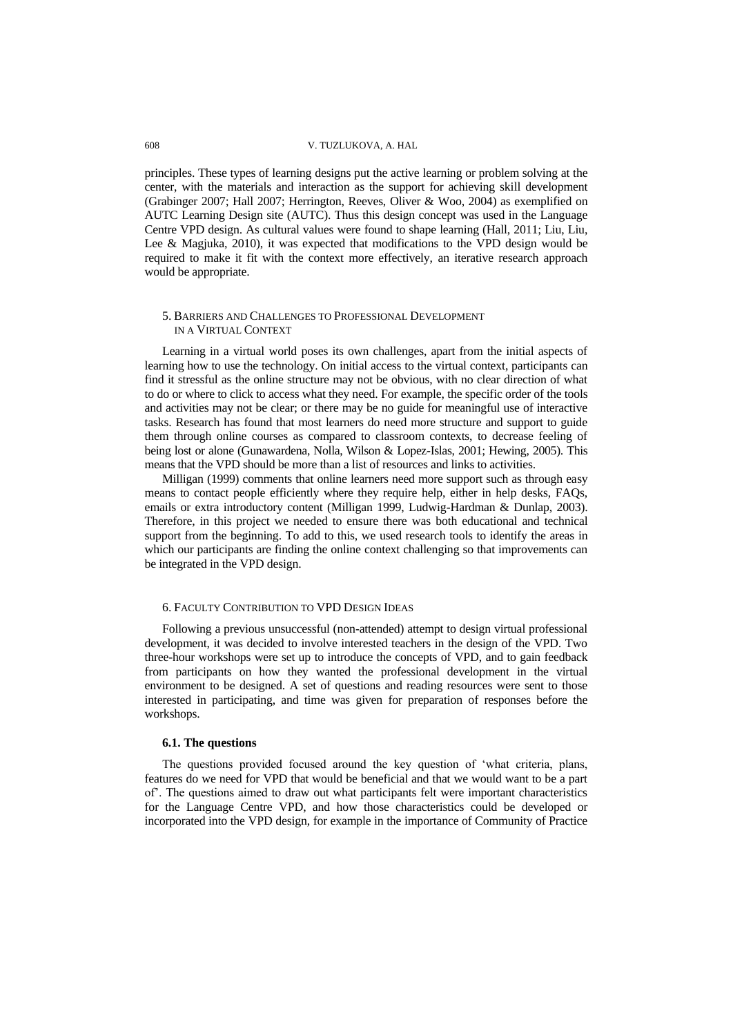principles. These types of learning designs put the active learning or problem solving at the center, with the materials and interaction as the support for achieving skill development (Grabinger 2007; Hall 2007; Herrington, Reeves, Oliver & Woo, 2004) as exemplified on AUTC Learning Design site (AUTC). Thus this design concept was used in the Language Centre VPD design. As cultural values were found to shape learning (Hall, 2011; Liu, Liu, Lee & Magjuka, 2010), it was expected that modifications to the VPD design would be required to make it fit with the context more effectively, an iterative research approach would be appropriate.

## 5. BARRIERS AND CHALLENGES TO PROFESSIONAL DEVELOPMENT IN A VIRTUAL CONTEXT

Learning in a virtual world poses its own challenges, apart from the initial aspects of learning how to use the technology. On initial access to the virtual context, participants can find it stressful as the online structure may not be obvious, with no clear direction of what to do or where to click to access what they need. For example, the specific order of the tools and activities may not be clear; or there may be no guide for meaningful use of interactive tasks. Research has found that most learners do need more structure and support to guide them through online courses as compared to classroom contexts, to decrease feeling of being lost or alone (Gunawardena, Nolla, Wilson & Lopez-Islas, 2001; Hewing, 2005). This means that the VPD should be more than a list of resources and links to activities.

Milligan (1999) comments that online learners need more support such as through easy means to contact people efficiently where they require help, either in help desks, FAQs, emails or extra introductory content (Milligan 1999, Ludwig-Hardman & Dunlap, 2003). Therefore, in this project we needed to ensure there was both educational and technical support from the beginning. To add to this, we used research tools to identify the areas in which our participants are finding the online context challenging so that improvements can be integrated in the VPD design.

#### 6. FACULTY CONTRIBUTION TO VPD DESIGN IDEAS

Following a previous unsuccessful (non-attended) attempt to design virtual professional development, it was decided to involve interested teachers in the design of the VPD. Two three-hour workshops were set up to introduce the concepts of VPD, and to gain feedback from participants on how they wanted the professional development in the virtual environment to be designed. A set of questions and reading resources were sent to those interested in participating, and time was given for preparation of responses before the workshops.

## **6.1. The questions**

The questions provided focused around the key question of "what criteria, plans, features do we need for VPD that would be beneficial and that we would want to be a part of". The questions aimed to draw out what participants felt were important characteristics for the Language Centre VPD, and how those characteristics could be developed or incorporated into the VPD design, for example in the importance of Community of Practice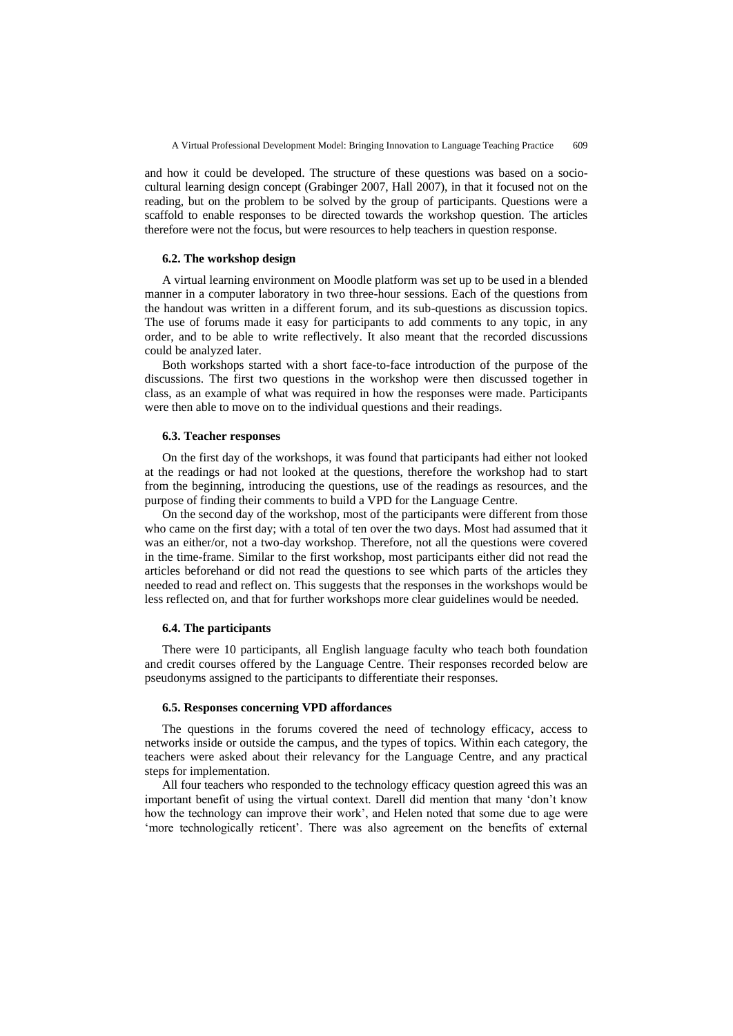and how it could be developed. The structure of these questions was based on a sociocultural learning design concept (Grabinger 2007, Hall 2007), in that it focused not on the reading, but on the problem to be solved by the group of participants. Questions were a scaffold to enable responses to be directed towards the workshop question. The articles therefore were not the focus, but were resources to help teachers in question response.

## **6.2. The workshop design**

A virtual learning environment on Moodle platform was set up to be used in a blended manner in a computer laboratory in two three-hour sessions. Each of the questions from the handout was written in a different forum, and its sub-questions as discussion topics. The use of forums made it easy for participants to add comments to any topic, in any order, and to be able to write reflectively. It also meant that the recorded discussions could be analyzed later.

Both workshops started with a short face-to-face introduction of the purpose of the discussions. The first two questions in the workshop were then discussed together in class, as an example of what was required in how the responses were made. Participants were then able to move on to the individual questions and their readings.

## **6.3. Teacher responses**

On the first day of the workshops, it was found that participants had either not looked at the readings or had not looked at the questions, therefore the workshop had to start from the beginning, introducing the questions, use of the readings as resources, and the purpose of finding their comments to build a VPD for the Language Centre.

On the second day of the workshop, most of the participants were different from those who came on the first day; with a total of ten over the two days. Most had assumed that it was an either/or, not a two-day workshop. Therefore, not all the questions were covered in the time-frame. Similar to the first workshop, most participants either did not read the articles beforehand or did not read the questions to see which parts of the articles they needed to read and reflect on. This suggests that the responses in the workshops would be less reflected on, and that for further workshops more clear guidelines would be needed.

## **6.4. The participants**

There were 10 participants, all English language faculty who teach both foundation and credit courses offered by the Language Centre. Their responses recorded below are pseudonyms assigned to the participants to differentiate their responses.

## **6.5. Responses concerning VPD affordances**

The questions in the forums covered the need of technology efficacy, access to networks inside or outside the campus, and the types of topics. Within each category, the teachers were asked about their relevancy for the Language Centre, and any practical steps for implementation.

All four teachers who responded to the technology efficacy question agreed this was an important benefit of using the virtual context. Darell did mention that many "don"t know how the technology can improve their work", and Helen noted that some due to age were 'more technologically reticent'. There was also agreement on the benefits of external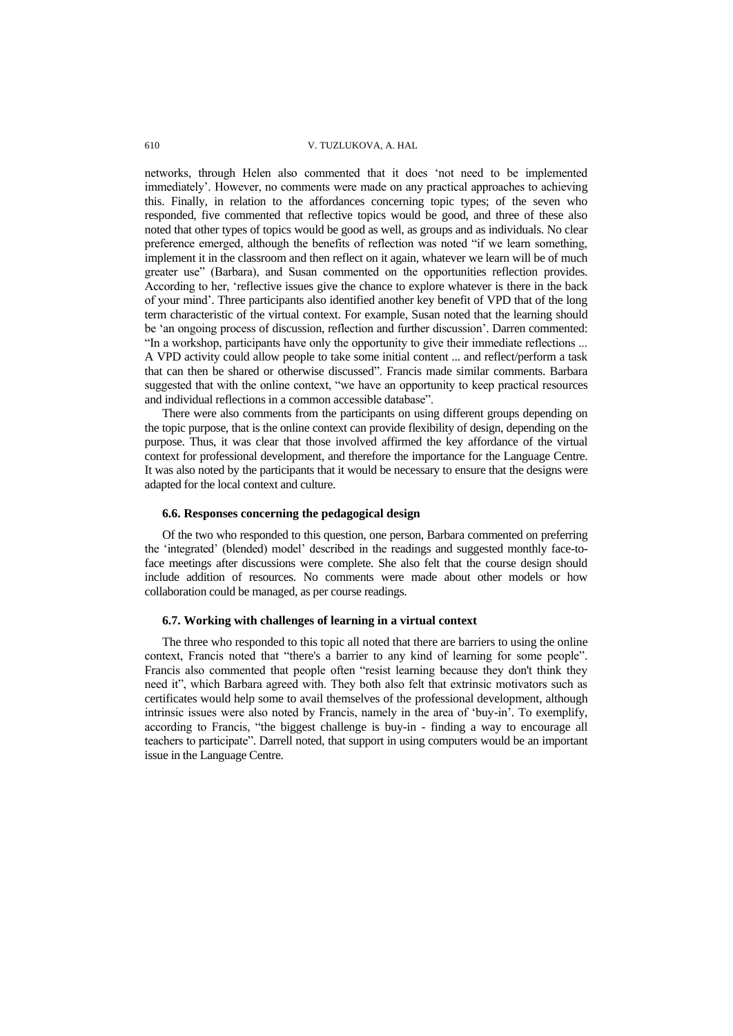networks, through Helen also commented that it does "not need to be implemented immediately". However, no comments were made on any practical approaches to achieving this. Finally, in relation to the affordances concerning topic types; of the seven who responded, five commented that reflective topics would be good, and three of these also noted that other types of topics would be good as well, as groups and as individuals. No clear preference emerged, although the benefits of reflection was noted "if we learn something, implement it in the classroom and then reflect on it again, whatever we learn will be of much greater use" (Barbara), and Susan commented on the opportunities reflection provides. According to her, "reflective issues give the chance to explore whatever is there in the back of your mind". Three participants also identified another key benefit of VPD that of the long term characteristic of the virtual context. For example, Susan noted that the learning should be "an ongoing process of discussion, reflection and further discussion". Darren commented: "In a workshop, participants have only the opportunity to give their immediate reflections ... A VPD activity could allow people to take some initial content ... and reflect/perform a task that can then be shared or otherwise discussed". Francis made similar comments. Barbara suggested that with the online context, "we have an opportunity to keep practical resources and individual reflections in a common accessible database".

There were also comments from the participants on using different groups depending on the topic purpose, that is the online context can provide flexibility of design, depending on the purpose. Thus, it was clear that those involved affirmed the key affordance of the virtual context for professional development, and therefore the importance for the Language Centre. It was also noted by the participants that it would be necessary to ensure that the designs were adapted for the local context and culture.

#### **6.6. Responses concerning the pedagogical design**

Of the two who responded to this question, one person, Barbara commented on preferring the "integrated" (blended) model" described in the readings and suggested monthly face-toface meetings after discussions were complete. She also felt that the course design should include addition of resources. No comments were made about other models or how collaboration could be managed, as per course readings.

## **6.7. Working with challenges of learning in a virtual context**

The three who responded to this topic all noted that there are barriers to using the online context, Francis noted that "there's a barrier to any kind of learning for some people". Francis also commented that people often "resist learning because they don't think they need it", which Barbara agreed with. They both also felt that extrinsic motivators such as certificates would help some to avail themselves of the professional development, although intrinsic issues were also noted by Francis, namely in the area of "buy-in". To exemplify, according to Francis, "the biggest challenge is buy-in - finding a way to encourage all teachers to participate". Darrell noted, that support in using computers would be an important issue in the Language Centre.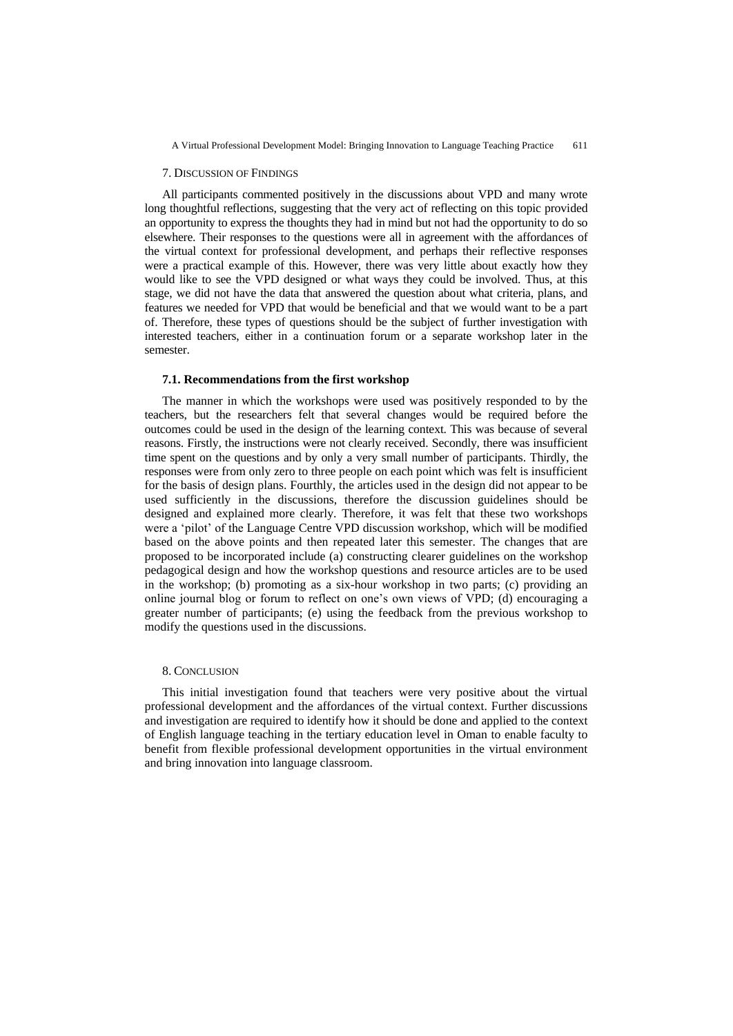A Virtual Professional Development Model: Bringing Innovation to Language Teaching Practice 611

#### 7. DISCUSSION OF FINDINGS

All participants commented positively in the discussions about VPD and many wrote long thoughtful reflections, suggesting that the very act of reflecting on this topic provided an opportunity to express the thoughts they had in mind but not had the opportunity to do so elsewhere. Their responses to the questions were all in agreement with the affordances of the virtual context for professional development, and perhaps their reflective responses were a practical example of this. However, there was very little about exactly how they would like to see the VPD designed or what ways they could be involved. Thus, at this stage, we did not have the data that answered the question about what criteria, plans, and features we needed for VPD that would be beneficial and that we would want to be a part of. Therefore, these types of questions should be the subject of further investigation with interested teachers, either in a continuation forum or a separate workshop later in the semester.

## **7.1. Recommendations from the first workshop**

The manner in which the workshops were used was positively responded to by the teachers, but the researchers felt that several changes would be required before the outcomes could be used in the design of the learning context. This was because of several reasons. Firstly, the instructions were not clearly received. Secondly, there was insufficient time spent on the questions and by only a very small number of participants. Thirdly, the responses were from only zero to three people on each point which was felt is insufficient for the basis of design plans. Fourthly, the articles used in the design did not appear to be used sufficiently in the discussions, therefore the discussion guidelines should be designed and explained more clearly. Therefore, it was felt that these two workshops were a "pilot" of the Language Centre VPD discussion workshop, which will be modified based on the above points and then repeated later this semester. The changes that are proposed to be incorporated include (a) constructing clearer guidelines on the workshop pedagogical design and how the workshop questions and resource articles are to be used in the workshop; (b) promoting as a six-hour workshop in two parts; (c) providing an online journal blog or forum to reflect on one"s own views of VPD; (d) encouraging a greater number of participants; (e) using the feedback from the previous workshop to modify the questions used in the discussions.

## 8. CONCLUSION

This initial investigation found that teachers were very positive about the virtual professional development and the affordances of the virtual context. Further discussions and investigation are required to identify how it should be done and applied to the context of English language teaching in the tertiary education level in Oman to enable faculty to benefit from flexible professional development opportunities in the virtual environment and bring innovation into language classroom.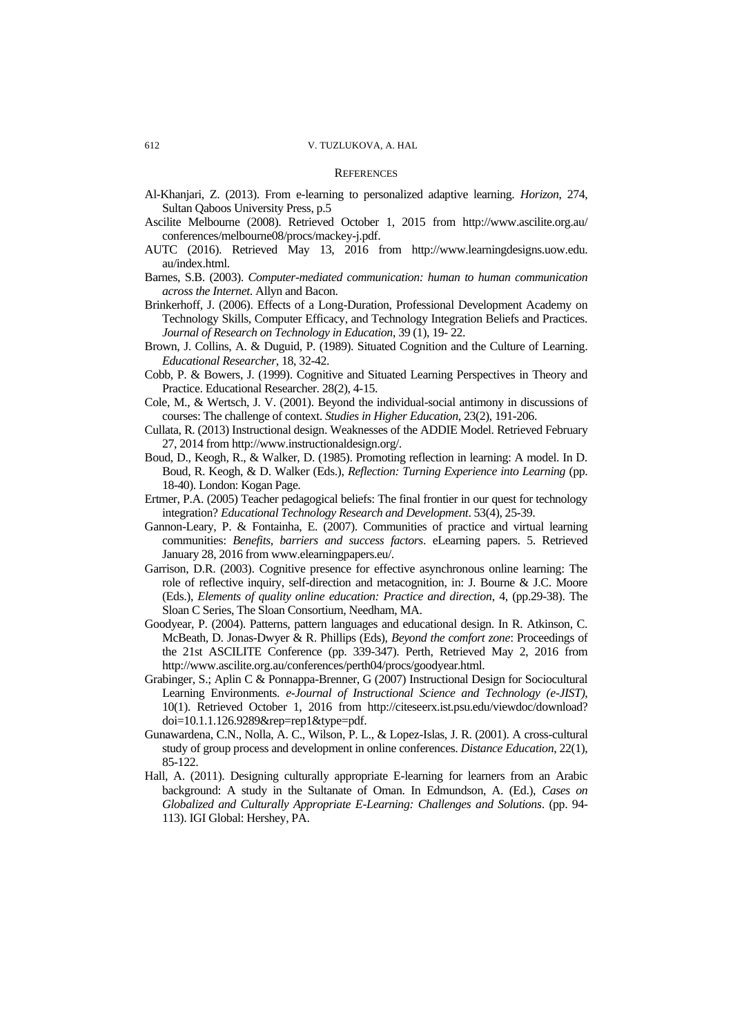#### **REFERENCES**

- Al-Khanjari, Z. (2013). From e-learning to personalized adaptive learning. *Horizon*, 274, Sultan Qaboos University Press, p.5
- Ascilite Melbourne (2008). Retrieved October 1, 2015 from http://www.ascilite.org.au/ conferences/melbourne08/procs/mackey-j.pdf.
- AUTC (2016). Retrieved May 13, 2016 from [http://www.learningdesigns.uow.edu.](http://www.learningdesigns.uow.edu.au/index.html) [au/index.html.](http://www.learningdesigns.uow.edu.au/index.html)
- Barnes, S.B. (2003). *Computer-mediated communication: human to human communication across the Internet*. Allyn and Bacon.
- Brinkerhoff, J. (2006). Effects of a Long-Duration, Professional Development Academy on Technology Skills, Computer Efficacy, and Technology Integration Beliefs and Practices. *Journal of Research on Technology in Education*, 39 (1), 19- 22.
- Brown, J. Collins, A. & Duguid, P. (1989). Situated Cognition and the Culture of Learning. *Educational Researcher*, 18, 32-42.
- Cobb, P. & Bowers, J. (1999). Cognitive and Situated Learning Perspectives in Theory and Practice. Educational Researcher. 28(2), 4-15.
- Cole, M., & Wertsch, J. V. (2001). Beyond the individual-social antimony in discussions of courses: The challenge of context. *Studies in Higher Education*, 23(2), 191-206.
- Cullata, R. (2013) Instructional design. Weaknesses of the ADDIE Model. Retrieved February 27, 2014 from http://www.instructionaldesign.org/.
- Boud, D., Keogh, R., & Walker, D. (1985). Promoting reflection in learning: A model. In D. Boud, R. Keogh, & D. Walker (Eds.), *Reflection: Turning Experience into Learning* (pp. 18-40). London: Kogan Page.
- Ertmer, P.A. (2005) Teacher pedagogical beliefs: The final frontier in our quest for technology integration? *Educational Technology Research and Development*. 53(4), 25-39.
- Gannon-Leary, P. & Fontainha, E. (2007). Communities of practice and virtual learning communities: *Benefits, barriers and success factors*. eLearning papers. 5. Retrieved January 28, 2016 from www.elearningpapers.eu/.
- Garrison, D.R. (2003). Cognitive presence for effective asynchronous online learning: The role of reflective inquiry, self-direction and metacognition, in: J. Bourne & J.C. Moore (Eds.), *Elements of quality online education: Practice and direction*, 4, (pp.29-38). The Sloan C Series, The Sloan Consortium, Needham, MA.
- Goodyear, P. (2004). Patterns, pattern languages and educational design. In R. Atkinson, C. McBeath, D. Jonas-Dwyer & R. Phillips (Eds), *Beyond the comfort zone*: Proceedings of the 21st ASCILITE Conference (pp. 339-347). Perth, Retrieved May 2, 2016 from http://www.ascilite.org.au/conferences/perth04/procs/goodyear.html.
- Grabinger, S.; Aplin C & Ponnappa-Brenner, G (2007) Instructional Design for Sociocultural Learning Environments. *e-Journal of Instructional Science and Technology (e-JIST)*, 10(1). Retrieved October 1, 2016 from http://citeseerx.ist.psu.edu/viewdoc/download? doi=10.1.1.126.9289&rep=rep1&type=pdf.
- Gunawardena, C.N., Nolla, A. C., Wilson, P. L., & Lopez-Islas, J. R. (2001). A cross-cultural study of group process and development in online conferences. *Distance Education*, 22(1), 85-122.
- Hall, A. (2011). Designing culturally appropriate E-learning for learners from an Arabic background: A study in the Sultanate of Oman. In Edmundson, A. (Ed.), *Cases on Globalized and Culturally Appropriate E-Learning: Challenges and Solutions*. (pp. 94- 113). IGI Global: Hershey, PA.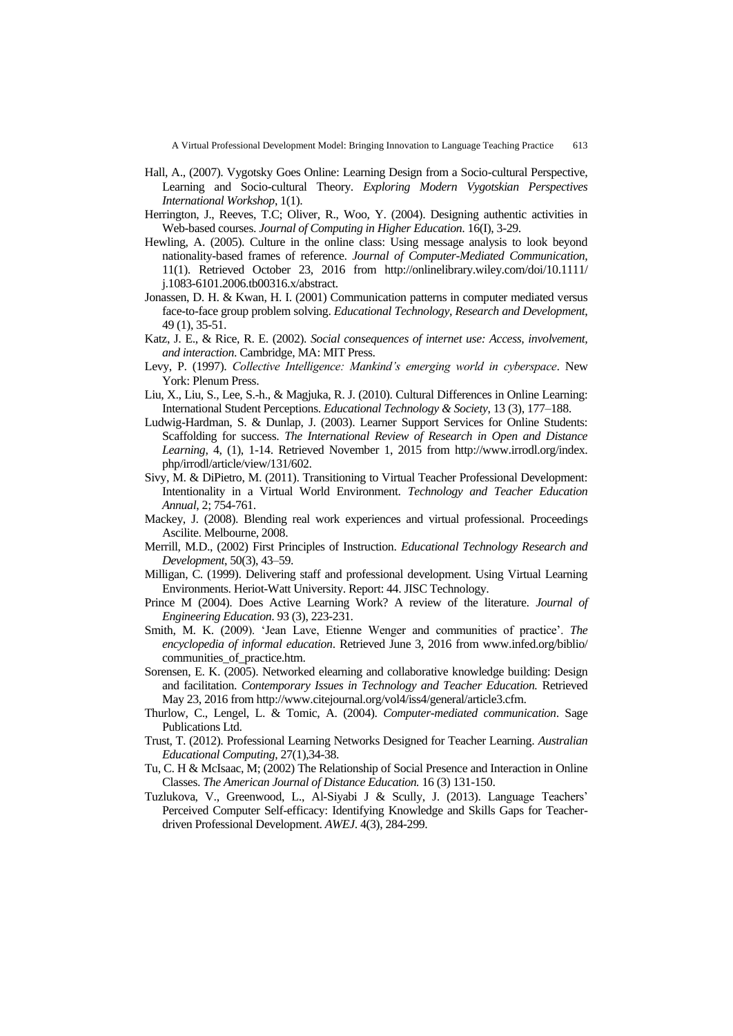A Virtual Professional Development Model: Bringing Innovation to Language Teaching Practice 613

- Hall, A., (2007). Vygotsky Goes Online: Learning Design from a Socio-cultural Perspective, Learning and Socio-cultural Theory. *Exploring Modern Vygotskian Perspectives International Workshop*, 1(1).
- Herrington, J., Reeves, T.C; Oliver, R., Woo, Y. (2004). Designing authentic activities in Web-based courses. *Journal of Computing in Higher Education*. 16(I), 3-29.
- Hewling, A. (2005). Culture in the online class: Using message analysis to look beyond nationality-based frames of reference. *Journal of Computer-Mediated Communication*, 11(1). Retrieved October 23, 2016 from http://onlinelibrary.wiley.com/doi/10.1111/ j.1083-6101.2006.tb00316.x/abstract.
- Jonassen, D. H. & Kwan, H. I. (2001) Communication patterns in computer mediated versus face-to-face group problem solving. *Educational Technology, Research and Development*, 49 (1), 35-51.
- Katz, J. E., & Rice, R. E. (2002). *Social consequences of internet use: Access, involvement, and interaction*. Cambridge, MA: MIT Press.
- Levy, P. (1997). *Collective Intelligence: Mankind's emerging world in cyberspace*. New York: Plenum Press.
- Liu, X., Liu, S., Lee, S.-h., & Magjuka, R. J. (2010). Cultural Differences in Online Learning: International Student Perceptions. *Educational Technology & Society*, 13 (3), 177–188.
- Ludwig-Hardman, S. & Dunlap, J. (2003). Learner Support Services for Online Students: Scaffolding for success. *The International Review of Research in Open and Distance Learning*, 4, (1), 1-14. Retrieved November 1, 2015 from http://www.irrodl.org/index. php/irrodl/article/view/131/602.
- Sivy, M. & DiPietro, M. (2011). Transitioning to Virtual Teacher Professional Development: Intentionality in a Virtual World Environment. *Technology and Teacher Education Annual*, 2; 754-761.
- Mackey, J. (2008). Blending real work experiences and virtual professional. Proceedings Ascilite. Melbourne, 2008.
- Merrill, M.D., (2002) First Principles of Instruction. *Educational Technology Research and Development*, 50(3), 43–59.
- Milligan, C. (1999). Delivering staff and professional development. Using Virtual Learning Environments. Heriot-Watt University. Report: 44. JISC Technology.
- Prince M (2004). Does Active Learning Work? A review of the literature. *Journal of Engineering Education*. 93 (3), 223-231.
- Smith, M. K. (2009). 'Jean Lave, Etienne Wenger and communities of practice'. *The encyclopedia of informal education*. Retrieved June 3, 2016 from www.infed.org/biblio/ communities\_of\_practice.htm.
- Sorensen, E. K. (2005). Networked elearning and collaborative knowledge building: Design and facilitation. *Contemporary Issues in Technology and Teacher Education.* Retrieved May 23, 2016 fro[m http://www.citejournal.org/vol4/iss4/general/article3.cfm.](http://www.citejournal.org/vol4/iss4/general/article3.cfm)
- Thurlow, C., Lengel, L. & Tomic, A. (2004). *Computer-mediated communication*. Sage Publications Ltd.
- Trust, T. (2012). Professional Learning Networks Designed for Teacher Learning. *Australian Educational Computing*, 27(1),34-38.
- Tu, C. H & McIsaac, M; (2002) The Relationship of Social Presence and Interaction in Online Classes. *The American Journal of Distance Education.* 16 (3) 131-150.
- Tuzlukova, V., Greenwood, L., Al-Siyabi J & Scully, J. (2013). Language Teachers" Perceived Computer Self-efficacy: Identifying Knowledge and Skills Gaps for Teacherdriven Professional Development. *AWEJ*. 4(3), 284-299.